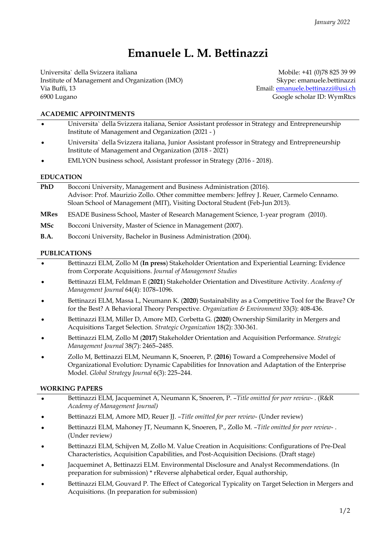# **Emanuele L. M. Bettinazzi**

Universita` della Svizzera italiana Institute of Management and Organization (IMO) Via Buffi, 13 6900 Lugano

Mobile: +41 (0)78 825 39 99 Skype: emanuele.bettinazzi Email: [emanuele.bettinazzi@usi.ch](mailto:emanuele.bettinazzi@usi.ch) Google scholar ID: WymRtcs

#### **ACADEMIC APPOINTMENTS**

- **•** Universita` della Svizzera italiana, Senior Assistant professor in Strategy and Entrepreneurship Institute of Management and Organization (2021 - )
- **•** Universita` della Svizzera italiana, Junior Assistant professor in Strategy and Entrepreneurship Institute of Management and Organization (2018 - 2021)
- **•** EMLYON business school, Assistant professor in Strategy (2016 2018).

#### **EDUCATION**

| <b>PhD</b>  | Bocconi University, Management and Business Administration (2016).                         |
|-------------|--------------------------------------------------------------------------------------------|
|             | Advisor: Prof. Maurizio Zollo. Other committee members: Jeffrey J. Reuer, Carmelo Cennamo. |
|             | Sloan School of Management (MIT), Visiting Doctoral Student (Feb-Jun 2013).                |
| <b>MRes</b> | ESADE Business School, Master of Research Management Science, 1-year program (2010).       |
| <b>MSc</b>  | Bocconi University, Master of Science in Management (2007).                                |
| <b>B.A.</b> | Bocconi University, Bachelor in Business Administration (2004).                            |

#### **PUBLICATIONS**

- **•** Bettinazzi ELM, Zollo M (**In press**) Stakeholder Orientation and Experiential Learning: Evidence from Corporate Acquisitions. *Journal of Management Studies*
- **•** Bettinazzi ELM, Feldman E (**2021**) Stakeholder Orientation and Divestiture Activity. *Academy of Management Journal* 64(4): 1078–1096.
- **•** Bettinazzi ELM, Massa L, Neumann K. (**2020**) Sustainability as a Competitive Tool for the Brave? Or for the Best? A Behavioral Theory Perspective. *Organization & Environment* 33(3): 408-436.
- **•** Bettinazzi ELM, Miller D, Amore MD, Corbetta G. (**2020**) Ownership Similarity in Mergers and Acquisitions Target Selection. *Strategic Organization* 18(2): 330-361.
- **•** Bettinazzi ELM, Zollo M (**2017**) Stakeholder Orientation and Acquisition Performance. *Strategic Management Journal* 38(7): 2465–2485.
- **•** Zollo M, Bettinazzi ELM, Neumann K, Snoeren, P. (**2016**) Toward a Comprehensive Model of Organizational Evolution: Dynamic Capabilities for Innovation and Adaptation of the Enterprise Model. *Global Strategy Journal* 6(3): 225–244.

#### **WORKING PAPERS**

- **•** Bettinazzi ELM, Jacqueminet A, Neumann K, Snoeren, P. –*Title omitted for peer review* . (R&R *Academy of Management Journal)*
- **•** Bettinazzi ELM, Amore MD, Reuer JJ. –*Title omitted for peer review* (Under review)
- **•** Bettinazzi ELM, Mahoney JT, Neumann K, Snoeren, P., Zollo M. –*Title omitted for peer review* . (Under review*)*
- **•** Bettinazzi ELM, Schijven M, Zollo M. Value Creation in Acquisitions: Configurations of Pre-Deal Characteristics, Acquisition Capabilities, and Post-Acquisition Decisions. (Draft stage)
- **•** Jacqueminet A, Bettinazzi ELM. Environmental Disclosure and Analyst Recommendations. (In preparation for submission) \* rReverse alphabetical order, Equal authorship,
- **•** Bettinazzi ELM, Gouvard P. The Effect of Categorical Typicality on Target Selection in Mergers and Acquisitions. (In preparation for submission)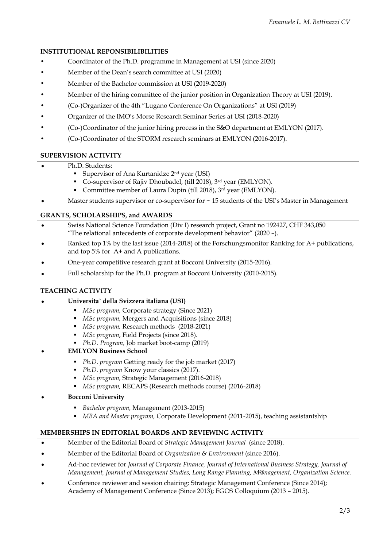## **INSTITUTIONAL REPONSIBILIBILITIES**

- **•** Coordinator of the Ph.D. programme in Management at USI (since 2020)
- **•** Member of the Dean's search committee at USI (2020)
- **•** Member of the Bachelor commission at USI (2019-2020)
- **•** Member of the hiring committee of the junior position in Organization Theory at USI (2019).
- **•** (Co-)Organizer of the 4th "Lugano Conference On Organizations" at USI (2019)
- **•** Organizer of the IMO's Morse Research Seminar Series at USI (2018-2020)
- **•** (Co-)Coordinator of the junior hiring process in the S&O department at EMLYON (2017).
- **•** (Co-)Coordinator of the STORM research seminars at EMLYON (2016-2017).

## **SUPERVISION ACTIVITY**

- **•** Ph.D. Students:
	- Supervisor of Ana Kurtanidze  $2<sup>nd</sup>$  year (USI)
	- Co-supervisor of Rajiv Dhoubadel, (till 2018), 3<sup>rd</sup> year (EMLYON).
	- Committee member of Laura Dupin (till 2018), 3rd year (EMLYON).
- **•** Master students supervisor or co-supervisor for ~ 15 students of the USI's Master in Management

## **GRANTS, SCHOLARSHIPS, and AWARDS**

- **•** Swiss National Science Foundation (Div I) research project, Grant no 192427, CHF 343,050 "The relational antecedents of corporate development behavior" (2020 –).
- **•** Ranked top 1% by the last issue (2014-2018) of the Forschungsmonitor Ranking for A+ publications, and top 5% for A+ and A publications.
- **•** One-year competitive research grant at Bocconi University (2015-2016).
- **•** Full scholarship for the Ph.D. program at Bocconi University (2010-2015).

## **TEACHING ACTIVITY**

#### **• Universita` della Svizzera italiana (USI)**

- *MSc program,* Corporate strategy (Since 2021)
- *MSc program,* Mergers and Acquisitions (since 2018)
- *MSc program,* Research methods (2018-2021)
- *MSc program*, Field Projects (since 2018).
- *Ph.D. Program,* Job market boot-camp (2019)
- **• EMLYON Business School** 
	- *Ph.D. program* Getting ready for the job market (2017)
	- *Ph.D. program* Know your classics (2017).
	- *MSc program,* Strategic Management (2016-2018)
	- *MSc program,* RECAPS (Research methods course) (2016-2018)
- **• Bocconi University** 
	- *Bachelor program,* Management (2013-2015)
	- *MBA and Master program,* Corporate Development (2011-2015), teaching assistantship

#### **MEMBERSHIPS IN EDITORIAL BOARDS AND REVIEWING ACTIVITY**

- **•** Member of the Editorial Board of *Strategic Management Journal* (since 2018).
- **•** Member of the Editorial Board of *Organization & Environment* (since 2016).
- **•** Ad-hoc reviewer for *Journal of Corporate Finance, Journal of International Business Strategy, Journal of Management, Journal of Management Studies, Long Range Planning, M@nagement, Organization Science.*
- **•** Conference reviewer and session chairing: Strategic Management Conference (Since 2014); Academy of Management Conference (Since 2013); EGOS Colloquium (2013 – 2015).